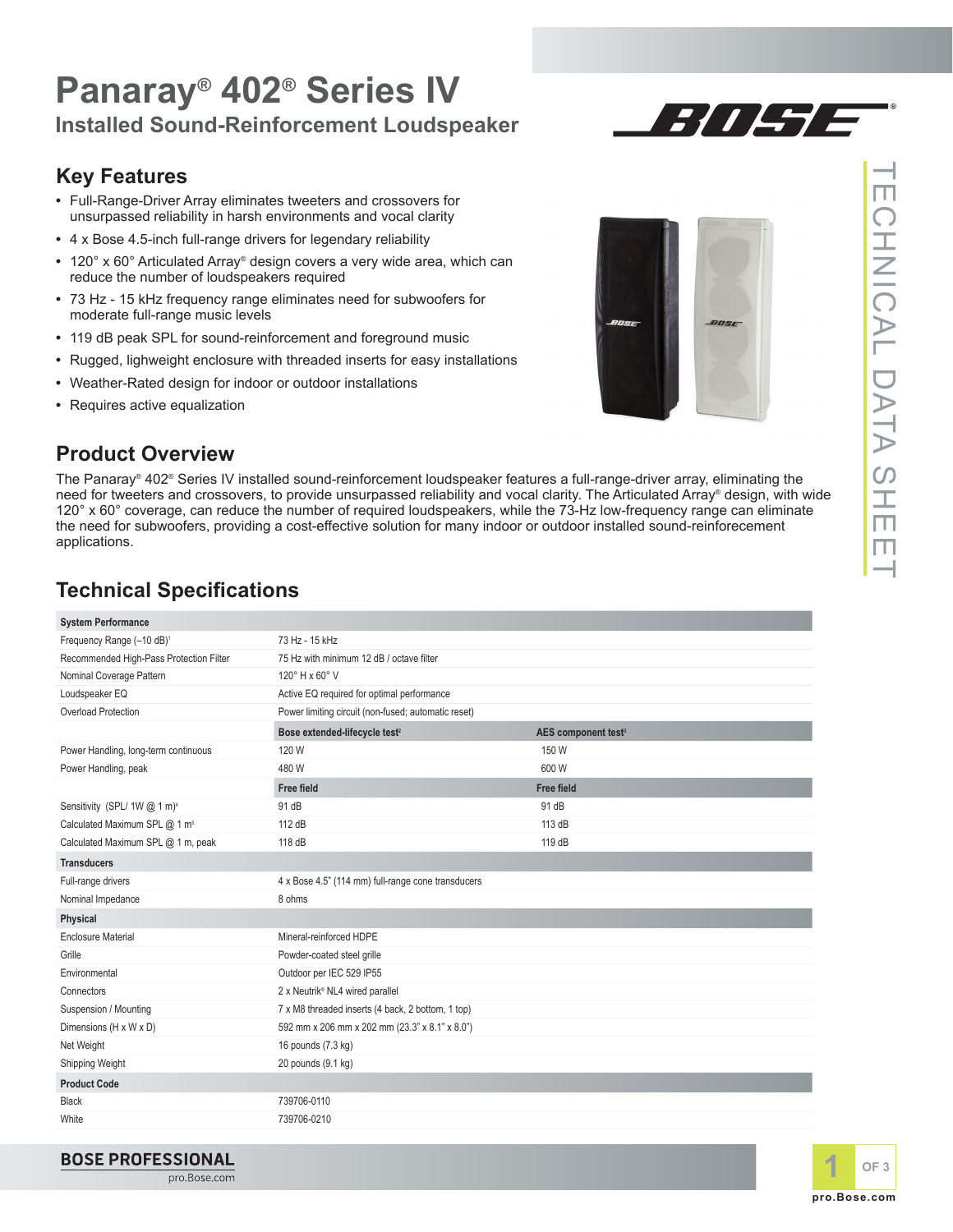# **Panaray® 402® Series IV Installed Sound-Reinforcement Loudspeaker**

#### **Key Features**

- **•** Full-Range-Driver Array eliminates tweeters and crossovers for unsurpassed reliability in harsh environments and vocal clarity
- **•** 4 x Bose 4.5-inch full-range drivers for legendary reliability
- **•** 120° x 60° Articulated Array® design covers a very wide area, which can reduce the number of loudspeakers required
- **•** 73 Hz 15 kHz frequency range eliminates need for subwoofers for moderate full-range music levels
- **•** 119 dB peak SPL for sound-reinforcement and foreground music
- **•** Rugged, lighweight enclosure with threaded inserts for easy installations
- **•** Weather-Rated design for indoor or outdoor installations
- **•** Requires active equalization

### **Product Overview**

The Panaray® 402® Series IV installed sound-reinforcement loudspeaker features a full-range-driver array, eliminating the need for tweeters and crossovers, to provide unsurpassed reliability and vocal clarity. The Articulated Array® design, with wide 120° x 60° coverage, can reduce the number of required loudspeakers, while the 73-Hz low-frequency range can eliminate the need for subwoofers, providing a cost-effective solution for many indoor or outdoor installed sound-reinforecement applications.

# **Technical Specifications**

| <b>System Performance</b>                 |                                                     |                                 |
|-------------------------------------------|-----------------------------------------------------|---------------------------------|
| Frequency Range (-10 dB) <sup>1</sup>     | 73 Hz - 15 kHz                                      |                                 |
| Recommended High-Pass Protection Filter   | 75 Hz with minimum 12 dB / octave filter            |                                 |
| Nominal Coverage Pattern                  | 120° H x 60° V                                      |                                 |
| Loudspeaker EQ                            | Active EQ required for optimal performance          |                                 |
| Overload Protection                       | Power limiting circuit (non-fused; automatic reset) |                                 |
|                                           | Bose extended-lifecycle test <sup>2</sup>           | AES component test <sup>3</sup> |
| Power Handling, long-term continuous      | 120 W                                               | 150 W                           |
| Power Handling, peak                      | 480 W                                               | 600 W                           |
|                                           | Free field                                          | Free field                      |
| Sensitivity (SPL/1W @ 1 m) <sup>4</sup>   | 91 dB                                               | 91 dB                           |
| Calculated Maximum SPL @ 1 m <sup>5</sup> | 112 dB                                              | 113 dB                          |
| Calculated Maximum SPL @ 1 m, peak        | 118 dB                                              | 119 dB                          |
| <b>Transducers</b>                        |                                                     |                                 |
| Full-range drivers                        | 4 x Bose 4.5" (114 mm) full-range cone transducers  |                                 |
| Nominal Impedance                         | 8 ohms                                              |                                 |
| Physical                                  |                                                     |                                 |
| <b>Enclosure Material</b>                 | Mineral-reinforced HDPE                             |                                 |
| Grille                                    | Powder-coated steel grille                          |                                 |
| Environmental                             | Outdoor per IEC 529 IP55                            |                                 |
| Connectors                                | 2 x Neutrik® NL4 wired parallel                     |                                 |
| Suspension / Mounting                     | 7 x M8 threaded inserts (4 back, 2 bottom, 1 top)   |                                 |
| Dimensions (H x W x D)                    | 592 mm x 206 mm x 202 mm (23.3" x 8.1" x 8.0")      |                                 |
| Net Weight                                | 16 pounds (7.3 kg)                                  |                                 |
| Shipping Weight                           | 20 pounds (9.1 kg)                                  |                                 |
| <b>Product Code</b>                       |                                                     |                                 |
| <b>Black</b>                              | 739706-0110                                         |                                 |
| White                                     | 739706-0210                                         |                                 |



Ш  $\bigcirc$ 

HNICAL

DATA

 $\frac{1}{1}$ 

 $\Box$ Ш



BOSE

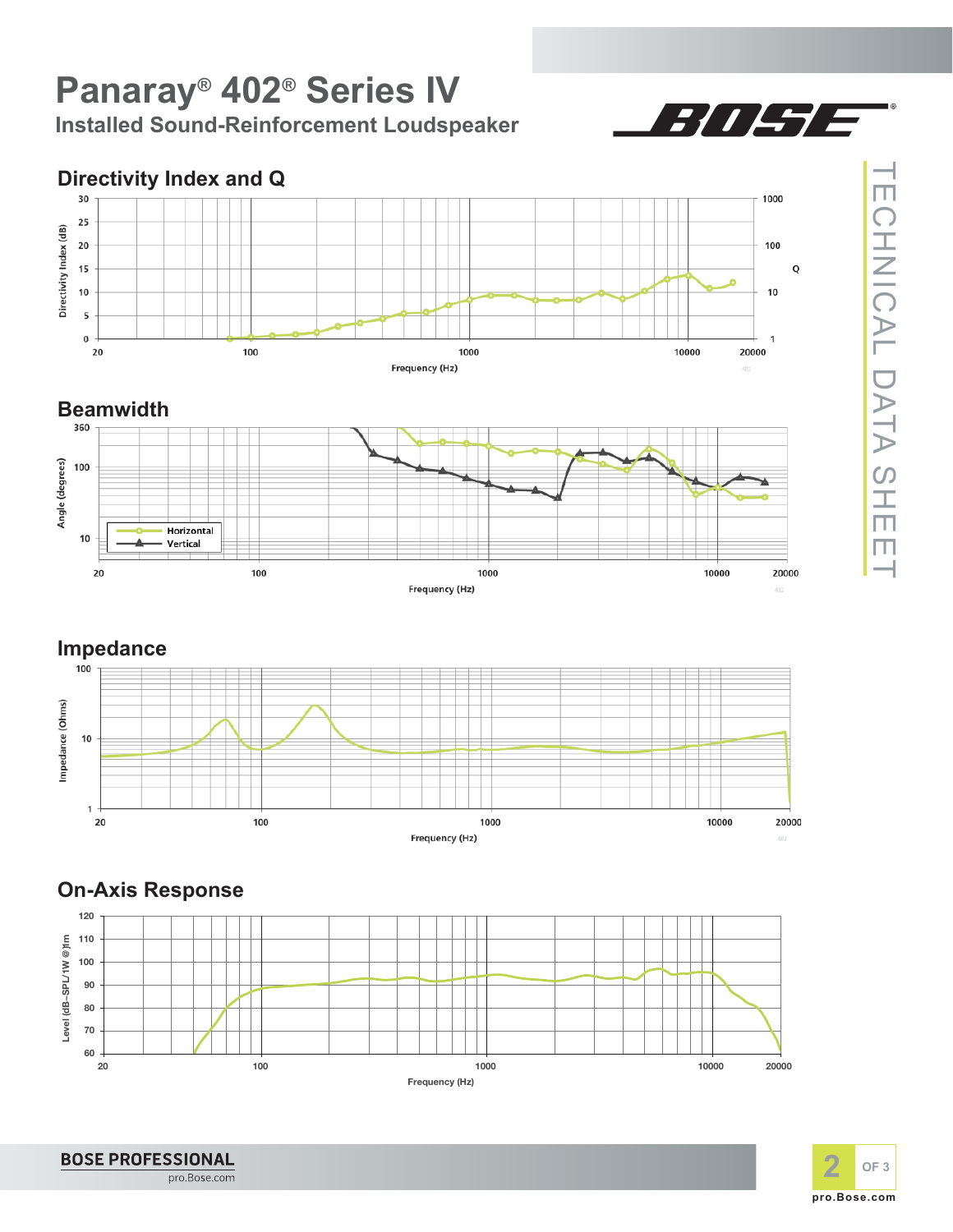**Panaray® 402® Series IV Installed Sound-Reinforcement Loudspeaker**



 $\Box$ 

CHNICAL DATA SH

 $\overline{\Box}$ 

 $\Box$  $\overline{\phantom{0}}$ 

**Directivity Index and Q** 







## **On-Axis Response**





**BOSE PROFESSIONAL** pro.Bose.com